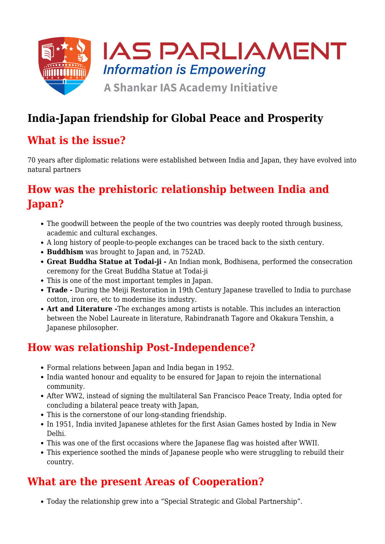

## **India-Japan friendship for Global Peace and Prosperity**

### **What is the issue?**

70 years after diplomatic relations were established between India and Japan, they have evolved into natural partners

## **How was the prehistoric relationship between India and Japan?**

- The goodwill between the people of the two countries was deeply rooted through business, academic and cultural exchanges.
- A long history of people-to-people exchanges can be traced back to the sixth century.
- **Buddhism** was brought to Japan and, in 752AD.
- **Great Buddha Statue at Todai-ji** An Indian monk, Bodhisena, performed the consecration ceremony for the Great Buddha Statue at Todai-ji
- This is one of the most important temples in Japan.
- **Trade** During the Meiji Restoration in 19th Century Japanese travelled to India to purchase cotton, iron ore, etc to modernise its industry.
- **Art and Literature -**The exchanges among artists is notable. This includes an interaction between the Nobel Laureate in literature, Rabindranath Tagore and Okakura Tenshin, a Japanese philosopher.

### **How was relationship Post-Independence?**

- Formal relations between Japan and India began in 1952.
- India wanted honour and equality to be ensured for Japan to rejoin the international community.
- After WW2, instead of signing the multilateral San Francisco Peace Treaty, India opted for concluding a bilateral peace treaty with Japan,
- This is the cornerstone of our long-standing friendship.
- In 1951, India invited Japanese athletes for the first Asian Games hosted by India in New Delhi.
- This was one of the first occasions where the Japanese flag was hoisted after WWII.
- This experience soothed the minds of Japanese people who were struggling to rebuild their country.

### **What are the present Areas of Cooperation?**

Today the relationship grew into a "Special Strategic and Global Partnership".